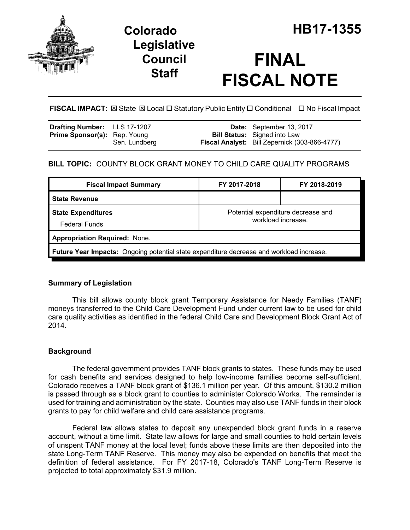

## **Legislative Council Staff**

# **FINAL FISCAL NOTE**

**FISCAL IMPACT:** ⊠ State ⊠ Local □ Statutory Public Entity □ Conditional □ No Fiscal Impact

| <b>Drafting Number:</b> LLS 17-1207 |               | Date: September 13, 2017                                                             |
|-------------------------------------|---------------|--------------------------------------------------------------------------------------|
| <b>Prime Sponsor(s):</b> Rep. Young | Sen. Lundberg | <b>Bill Status:</b> Signed into Law<br>Fiscal Analyst: Bill Zepernick (303-866-4777) |
|                                     |               |                                                                                      |

## **BILL TOPIC:** COUNTY BLOCK GRANT MONEY TO CHILD CARE QUALITY PROGRAMS

| <b>Fiscal Impact Summary</b>                                                             | FY 2017-2018                                             | FY 2018-2019 |  |  |  |
|------------------------------------------------------------------------------------------|----------------------------------------------------------|--------------|--|--|--|
| <b>State Revenue</b>                                                                     |                                                          |              |  |  |  |
| <b>State Expenditures</b><br><b>Federal Funds</b>                                        | Potential expenditure decrease and<br>workload increase. |              |  |  |  |
| <b>Appropriation Required: None.</b>                                                     |                                                          |              |  |  |  |
| Future Year Impacts: Ongoing potential state expenditure decrease and workload increase. |                                                          |              |  |  |  |

## **Summary of Legislation**

This bill allows county block grant Temporary Assistance for Needy Families (TANF) moneys transferred to the Child Care Development Fund under current law to be used for child care quality activities as identified in the federal Child Care and Development Block Grant Act of 2014.

## **Background**

The federal government provides TANF block grants to states. These funds may be used for cash benefits and services designed to help low-income families become self-sufficient. Colorado receives a TANF block grant of \$136.1 million per year. Of this amount, \$130.2 million is passed through as a block grant to counties to administer Colorado Works. The remainder is used for training and administration by the state. Counties may also use TANF funds in their block grants to pay for child welfare and child care assistance programs.

Federal law allows states to deposit any unexpended block grant funds in a reserve account, without a time limit. State law allows for large and small counties to hold certain levels of unspent TANF money at the local level; funds above these limits are then deposited into the state Long-Term TANF Reserve. This money may also be expended on benefits that meet the definition of federal assistance. For FY 2017-18, Colorado's TANF Long-Term Reserve is projected to total approximately \$31.9 million.